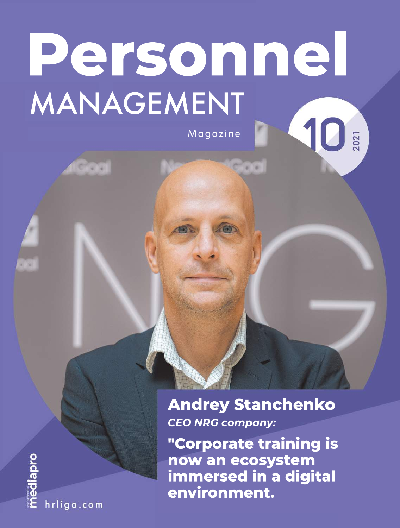# **Personnel** MANAGEMENT 10

Magazine

**Andrey Stanchenko CEO NRG company:** 

**"Corporate training is now anecosystem immersed in a digital environment.**

hrliga.com

ora a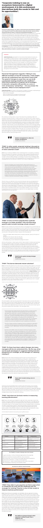"Corporate training is now an ecosystem immersed in a digital environment. It is this environment that defines both the needs in T&D and its opportunities".



**The guest of Olga Makogon, the editor-in-chief of Personnel Management magazine, was a long-time friend of the editorial board, Andrey Stanchenko, a person known among HR, business trainers, consultants and professional speakers.** He is a professional who seems to have mastered everything that is currently known in the world of training and development, and strives to keep up with the times in the Ukrainian market of corporate training and development (L&D): for eight years Andrew has been representing Ukraine in the largest global Association of Corporate Training (ATD) in the United States. A facilitator of strategic sessions, a coach of top teams, a real Mentor... Knowing Andrei as a goal-oriented person, able to work with the specifics of the moment and the most unexpected "black swans", it is not surprising that he named his own company NewRealGoal. He is always looking for something new to lean on now or at least to see beyond the foggy contours of the future those prospects that can be used today to pursue your goal. **Our conversation is about the transformation of learning models in companies.** One way or another, digitalization and numerous digital tools are entering our lives, shaping both the work environment and the living environment in general. **Who, what and how to teach in a world of constant change?**

**Andrii Stanchenko:** The answer to this question is related to managers' understanding of business needs, which leads us to the following series of questions:

- What to train managers?
- What competencies do managers at all levels need?
- Which training model will prevail in current trends?



The customer, not the product, is now at the center of any marketing model, and business is focused primarily on creating value for the customer and a unique customer experience. This is exactly what we need to train employees to do: create such in-demand value. At the same time, the employee himself, in the role of a learner, is also a customer to train. After the Third Technology Revolution, business is no longer product-oriented, it has become customer-oriented. And digitalization, digital technology itself, is a human orientation. There has been a kind of dematerialization: products are increasingly shifting to services, and the main trend is that sales of services are growing more rapidly than the production of goods. Business doesn't work for the warehouse, all companies are trying to catch the very fast-changing needs of the client. So, in my opinion, the main thing is not "what to teach," but "how to quickly understand what to teach." The customer's demand changes, the competencies needed to realize that customer value change,

hence the need for training changes as well.



**А. S.:** Focus in training is shifted to client-oriented approach. In everything. Including a focus on the learner as a customer. In the center of the corporate training becomes an employee, his training needs. This trend is already reflected in the allocation of a new concept of training called eutagogy. Or hutagogy is the same thing. If pedagogy deals with the education of children, and androgogy deals with the education of adults, then eutagogy deals with the education of adults in the context of digitalization.

Why do I draw your attention to the connection between learning and digitalization? The point is that there is an interesting closed loop here: who changed the learning opportunities of this adult learning agent? The digital environment! It has changed the way we live our lives. Digitalization is changing us - and it should also help us learn and grow. We are connected to gadgets: we disconnect from the laptop, we connect to the phone, then to the digital camera, then to the landline. Moreover, we are connected to everything at once, just switching our attention from one digital object to another. Multichannel is the new way of life.



**А. S.:** Not really. Certainly, the scheme "let's teach our employees for six months" does not work anymore, because we have people who will not wait for this. And the business won't wait for it, either. Let's just see what the training model is like now in general. How people learn. For example, someone wants to cook something. Bake a cake. Or wants to make sure the door in the apartment doesn't squeak. What do people do?

- They go to a global video hosting service, Youtube, and enter a query on the topic of interest.
- Choose the most relevant video clip they like.
- They find out a recipe for solving the problem.
- Immediately they convert obtained knowledge into results.

And now let's go back: in order to get such fast "video tutorials", Youtube users have been pouring in all kinds of clips for 10-15 years. It's about comprehensiveness. Complexity, i.e. completeness, consistency and interconnectedness, has not gone away from learning. But now it manifests itself like this: at the right moment, the user connects and immediately gets the training content to achieve the desired result. The complexity remains, but the model has changed. And it has changed precisely because, firstly, it has changed the "portrait" of a learning person and, secondly, the presence of the digital environment, which gives many opportunities. But the primary change is the learner himself.



**А. S.:** Yes. This is the specifics of our time: everyone needs everything right now. The client will not wait when there are thousands or even millions of offers around. Again we come back to the question: what is it now, this comprehensive training? Marketing today has some monopoly on access to people and "launches its tentacles" into learning. In terms of financial technology and online services, the prevailing model is **design thinking.** Digital tools allow you to fully trace the customer's path to purchase and understand not only its pragmatic values (for example, in Uber it is without unnecessary talk to call the car, saving time, money and emotions), but also allow him to get the customer experience. And it's not always measured by value and money. With Airbnb1, you can not just pay less than when checking into a hotel, and for the duration of your stay in the country do not feel like a tourist, but like a resident of a particular city. Because you live in a regular apartment, as if you were a citizen of the country.

The same applies to learning. Now people don't memorize and accumulate information that may or may not come in handy. They learn not "for the sake of it," but in order to put their knowledge into practice immediately. The "knower" and the "learner" are what we are in relation to the digital learning environment. And not just the result of learning, but the process itself becomes meaningful in this new digital world.

The term heutagogy was coined by Stewart Hase and Chris Kenyon in 2000. The authors position eutagogy as a new approach to the organization of adult learning through self-education, the teaching of how to learn independently in the XXI century. The basic principle: the learning subject (the student) is at the center of the process of their own learning. Thus, learning becomes not teacher-centered (on the personality of the tutor) and not subject-oriented (on the studied subject), but student-centered: the main role in the process of comprehension of the new for himself plays the student. The semantics of the Greek word "eutagogy" includes the meaning "to lead to inventions, discoveries, findings, conclusions.

**Modern management is, above all, change management.** *Andrey Stanchenko*

**Personnel Management magazine: Talking to very different members of the HR community, I meet people who do not understand how and what to teach staff. The speed of changes is crazy! How can you build a systematic training of staff in such conditions? Given that investment in training a lot of managers in domestic companies still perceive as a cost, or even unnecessary "pampering" ... Can you answer the question, "What to train employees now?"**

# **"PMM": In other words, corporate training is focused on the needs of employees to nurture their understanding of what customers need?**

# **"PMM": It turns out that comprehensive systemic training is no longer possible? Only microlearning, specific point-to-point trainings remain relevant?**

#### **"PMM": The learner demands instant solutions?**

#### **SYNOPSIS**

**Andrii Stanchenko** graduated from the Crimean State Medical University. He is a candidate of medical sciences. In 2007 he graduated from the National Academy of Public Administration under the President of Ukraine with a degree in economic policy, in 2012 he became a certified management consultant. He received practical experience as a top manager in an international company KRKA. He teaches a change management course in the MBA program. In 2008 he founded the company NewRealGoal (NRG). Holder of the title of "Golden Management Coach" (2020). A representative of the International Speakers Association (CISSA) in Ukraine and vice president of the Association of Management Consultants (CMC).

> **Watching the system already changes the system.**

*Andrey Stanchenko*

1 Airbnb is an online marketplace for placing offers and searching for short-term private rentals all over the world.



How have learning models evolved in the past? There is a certain evolution - and it repeats, in general, for all corporate systems. First, the business identified some need, and it turned out that people don't know how to serve it - so they need to be taught quickly. For example: they don't know how to sell - you have to teach them. But this way is very expensive, because knowledge is in the possession of trainees and is not recorded in the organization, not accumulated, not structured, not left. This is an expensive non-systemic model of training: it seems that we spend a little, but it is money to the wind, and therefore the result is expensive and inefficient.

Then the company switches to repetitive training. A bottleneck is identified - and then training programs are recorded and repeated from year to year, from cycle to cycle - depending on the need. The knowledge stays with the company.

But here are the BANI factors, the external constantly changing context. There is no longer unchanging knowledge (e.g., some uniform methods in sales). External challenges change. And then the employee's approach to training changes. A company opens PMM many opportunities to connect to existing digital resources, which allow an employee to acquire new, necessary right now knowledge. And importantly, the digital environment makes data accumulate. Now training becomes manageable, because the accumulated data can be analyzed and it is possible to understand where the bottlenecks are and what the size of the problem is, as they say, "in numbers.

# **"PMM": So there have been radical changes, but many managers still do not understand this... By the way, what are the main stereotypes in corporate training from the perspective of a manager, an HR manager or a learning employee?**

#### **"PMM": And what are the basic metrics in measuring**

# **learning effectiveness?**

**А. S.:** We know that nothing changes the point of view as much as where you sit. (Smiles.) Everyone sees the process differently, and they don't understand why something needs to be taught and something doesn't. The employee looks from his side, and he gets the feeling that he knows exactly what he needs - and he's being taught something unnecessary. The manager looks from a higher horizon, he has a different point of view. As experts in training, they look from their own bell towers... So, of course, comprehensiveness is very important. Not only in the application of mixed formats, proportions on this or that method of training. There should be a wellestablished dialogue of all stakeholders: how we in the company train and educate. Now in the request for training, the focus is very much shifting from an HR manager and an employee to the manager's vision, because he is responsible for the result of the division, he is the owner of the resources and a critical link. The HR person acts as a consultant and the supervisor acts as the customer of best practice training.



**А. S.:** There is the well-known Kirkpatrick model with its four levels. But at some time interest in the topic of effective learning has faded. Why? Because in pre-digital period measuring of effectiveness was more expensive than actual training and confirmation of its positive impact on the company's results. And now the digital toolkit is increasingly accurate in answering the question, "Does learning lead to business improvement or not?" Importantly, the digital environment itself and helps design learning that leads to results. At the ATD2021 conference, the CLICKS model was presented, visually representing five levels of design, replacing the Kirkpatrick model:

CLICKS Model Checklists for Evaluating Learning Effectiveness



If we have a recurring problem that we need to close with training, we accumulate data. Digital tools help with that. The more workflows are interfaced with the digital environment, the easier it is to identify the problem and measure its magnitude. Digitized data accumulates in the system, the main thing is to be able to analyze it. We can see and measure which factors have the greatest impact on the outcome. It will be clear to the manager where to direct the resource for training.

**If you want to waste money, save on training.** *Andrey Stanchenko*

| 5 domains                 | trainee factors                                                              | workplace factors                                                                        |
|---------------------------|------------------------------------------------------------------------------|------------------------------------------------------------------------------------------|
| <b>Capacity</b>           | What is the bandwidth limit for new<br>trainees?                             | What won't settle into practice and<br>get in the way of implementing the<br>main thing? |
| Layering                  | What is the sequence of skills and<br>what not to miss in it?                | What will be built on top of the<br>existing skill level?                                |
| Instrinsig enablers       | Why would a student care about<br>introducing new things?                    | How do you encourage what<br>motivates the learner?                                      |
| Coherence                 | How will targeted behavior change<br>build into the work?                    | How will work change further after<br>the behavior change?                               |
| <b>Social connections</b> | How will the change in the<br>employee's behavior affect other<br>employees? | How does change sPMMport at the<br>expense of the environment?                           |

#### **The "fluidity" of modern training is due to six streams:**

- **1.** game mentality the flow of attempts (approaches to the projectile).
- **2.** Recommended continuations (NETFLIX) flow of scenarios.
- **3.** Social learning flow of mentors and buddies (peer learning assistants).
- **4.** blockchain certification a stream of training events.
- **5.** Streaming TV stream of personalized and short video consumption.
- **6.** "Choreography" of learning in the workflow stream.

#### **Six stones on which to cross six streams**



#### **"PMM": How often in your practice are there cases when in companies the rank-and-file employees ask the manager for training? Exactly in view of their needs to improve business performance?**

**А. S.:** Today training is an ecosystem. As I said before, the new approach to training, eutagogy, focuses on people's needs. Managers' attitudes toward such requests have really changed. Executives are now asking, "What do you need to achieve better results?" What's more, training is structured along the lines of a social network. A request comes in, "There's such-and-such a problem. Who knows how to do this and that to solve it?" It turns out who has such skills, and these people act as mentors for those who want to learn. Models can vary. Some companies use open platforms, and people from outside the company can tap into their knowledge. This is an important topic that requires a separate discussion. Realizing that an employee's cycle in one company is diminishing, locking them inside their corporate system proves not to be very profitable or effective. The employee will leave anyway. And then new relationships between companies arise. For example, inter-corporate universities are already appearing in the United States, when two or three or more market leaders share the cost of training with each other. Because their staff flows smoothly, and it is cheaper to train like this than to invest in strengthening loyalty.



**The ability to manage change is what separates a brilliant leader from a mediocre one.** *Andrey Stanchenko*